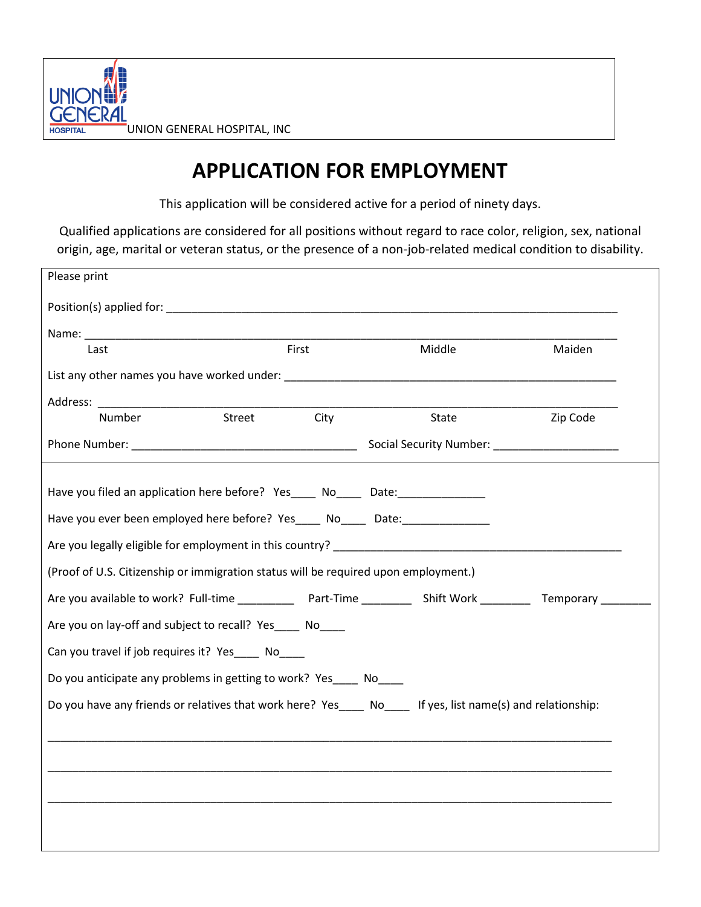

## **APPLICATION FOR EMPLOYMENT**

This application will be considered active for a period of ninety days.

Qualified applications are considered for all positions without regard to race color, religion, sex, national origin, age, marital or veteran status, or the presence of a non-job-related medical condition to disability.

| Please print                                                                                               |        |          |
|------------------------------------------------------------------------------------------------------------|--------|----------|
|                                                                                                            |        |          |
|                                                                                                            |        |          |
| First<br>Last                                                                                              | Middle | Maiden   |
|                                                                                                            |        |          |
|                                                                                                            |        |          |
| Street<br><b>City</b><br><b>Number</b>                                                                     | State  | Zip Code |
|                                                                                                            |        |          |
|                                                                                                            |        |          |
| Have you filed an application here before? Yes_____ No_____ Date:_______________                           |        |          |
| Have you ever been employed here before? Yes_____ No_____ Date:_________________                           |        |          |
| Are you legally eligible for employment in this country?                                                   |        |          |
| (Proof of U.S. Citizenship or immigration status will be required upon employment.)                        |        |          |
|                                                                                                            |        |          |
| Are you on lay-off and subject to recall? Yes____ No____                                                   |        |          |
| Can you travel if job requires it? Yes No                                                                  |        |          |
| Do you anticipate any problems in getting to work? Yes____ No____                                          |        |          |
| Do you have any friends or relatives that work here? Yes____ No____ If yes, list name(s) and relationship: |        |          |
|                                                                                                            |        |          |
|                                                                                                            |        |          |
|                                                                                                            |        |          |
|                                                                                                            |        |          |
|                                                                                                            |        |          |
|                                                                                                            |        |          |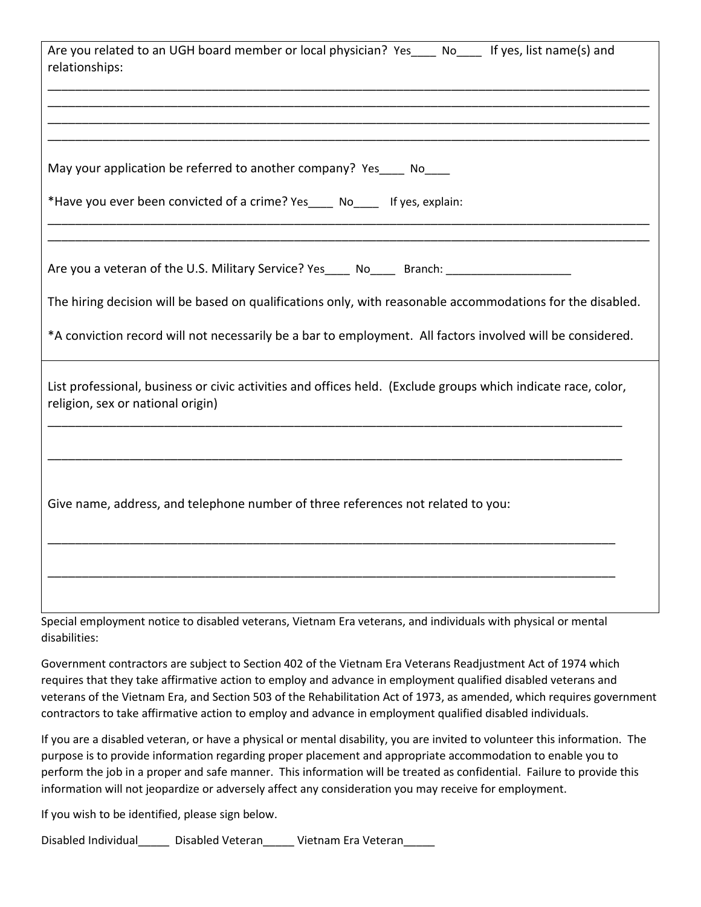| Are you related to an UGH board member or local physician? Yes____ No____ If yes, list name(s) and<br>relationships:                               |
|----------------------------------------------------------------------------------------------------------------------------------------------------|
|                                                                                                                                                    |
| May your application be referred to another company? Yes____ No____                                                                                |
| *Have you ever been convicted of a crime? Yes____ No____ If yes, explain:                                                                          |
| Are you a veteran of the U.S. Military Service? Yes_____ No_____ Branch: ____________________                                                      |
| The hiring decision will be based on qualifications only, with reasonable accommodations for the disabled.                                         |
| *A conviction record will not necessarily be a bar to employment. All factors involved will be considered.                                         |
| List professional, business or civic activities and offices held. (Exclude groups which indicate race, color,<br>religion, sex or national origin) |
|                                                                                                                                                    |
| Give name, address, and telephone number of three references not related to you:                                                                   |
|                                                                                                                                                    |
| Special employment notice to disabled veterans, Vietnam Era veterans, and individuals with physical or mental                                      |

disabilities:

Government contractors are subject to Section 402 of the Vietnam Era Veterans Readjustment Act of 1974 which requires that they take affirmative action to employ and advance in employment qualified disabled veterans and veterans of the Vietnam Era, and Section 503 of the Rehabilitation Act of 1973, as amended, which requires government contractors to take affirmative action to employ and advance in employment qualified disabled individuals.

If you are a disabled veteran, or have a physical or mental disability, you are invited to volunteer this information. The purpose is to provide information regarding proper placement and appropriate accommodation to enable you to perform the job in a proper and safe manner. This information will be treated as confidential. Failure to provide this information will not jeopardize or adversely affect any consideration you may receive for employment.

If you wish to be identified, please sign below.

Disabled Individual\_\_\_\_\_ Disabled Veteran\_\_\_\_\_ Vietnam Era Veteran\_\_\_\_\_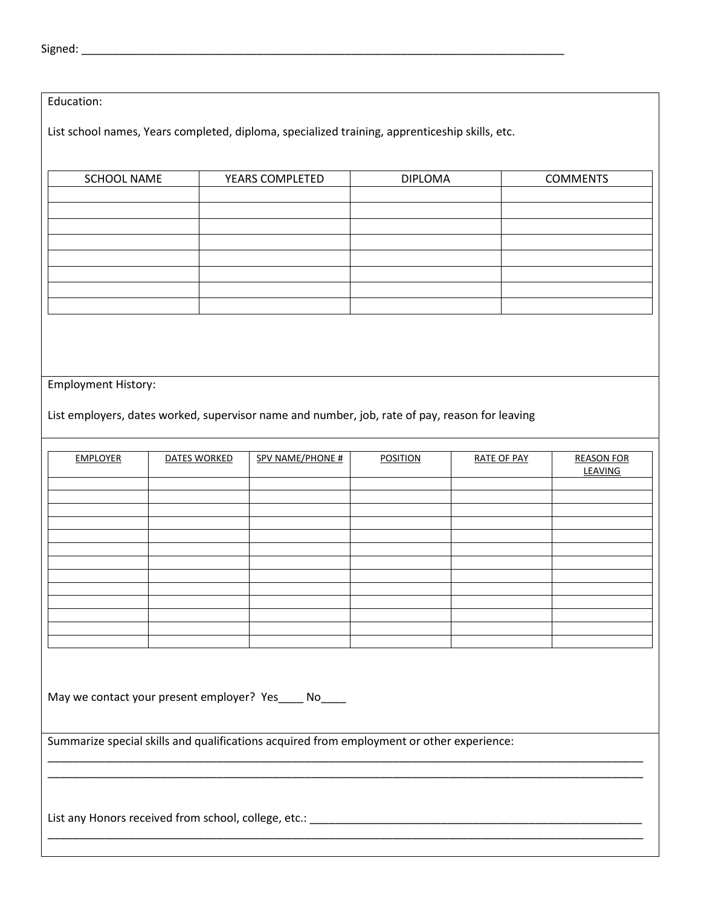## Education:

List school names, Years completed, diploma, specialized training, apprenticeship skills, etc.

| <b>SCHOOL NAME</b> | YEARS COMPLETED | <b>DIPLOMA</b> | <b>COMMENTS</b> |
|--------------------|-----------------|----------------|-----------------|
|                    |                 |                |                 |
|                    |                 |                |                 |
|                    |                 |                |                 |
|                    |                 |                |                 |
|                    |                 |                |                 |
|                    |                 |                |                 |
|                    |                 |                |                 |
|                    |                 |                |                 |

## Employment History:

List employers, dates worked, supervisor name and number, job, rate of pay, reason for leaving

| <b>EMPLOYER</b> | DATES WORKED | SPV NAME/PHONE # | <b>POSITION</b> | <b>RATE OF PAY</b> | <b>REASON FOR</b><br><b>LEAVING</b> |
|-----------------|--------------|------------------|-----------------|--------------------|-------------------------------------|
|                 |              |                  |                 |                    |                                     |
|                 |              |                  |                 |                    |                                     |
|                 |              |                  |                 |                    |                                     |
|                 |              |                  |                 |                    |                                     |
|                 |              |                  |                 |                    |                                     |
|                 |              |                  |                 |                    |                                     |
|                 |              |                  |                 |                    |                                     |
|                 |              |                  |                 |                    |                                     |
|                 |              |                  |                 |                    |                                     |
|                 |              |                  |                 |                    |                                     |
|                 |              |                  |                 |                    |                                     |
|                 |              |                  |                 |                    |                                     |
|                 |              |                  |                 |                    |                                     |

\_\_\_\_\_\_\_\_\_\_\_\_\_\_\_\_\_\_\_\_\_\_\_\_\_\_\_\_\_\_\_\_\_\_\_\_\_\_\_\_\_\_\_\_\_\_\_\_\_\_\_\_\_\_\_\_\_\_\_\_\_\_\_\_\_\_\_\_\_\_\_\_\_\_\_\_\_\_\_\_\_\_\_\_\_\_\_\_\_\_\_\_\_\_\_ \_\_\_\_\_\_\_\_\_\_\_\_\_\_\_\_\_\_\_\_\_\_\_\_\_\_\_\_\_\_\_\_\_\_\_\_\_\_\_\_\_\_\_\_\_\_\_\_\_\_\_\_\_\_\_\_\_\_\_\_\_\_\_\_\_\_\_\_\_\_\_\_\_\_\_\_\_\_\_\_\_\_\_\_\_\_\_\_\_\_\_\_\_\_\_

\_\_\_\_\_\_\_\_\_\_\_\_\_\_\_\_\_\_\_\_\_\_\_\_\_\_\_\_\_\_\_\_\_\_\_\_\_\_\_\_\_\_\_\_\_\_\_\_\_\_\_\_\_\_\_\_\_\_\_\_\_\_\_\_\_\_\_\_\_\_\_\_\_\_\_\_\_\_\_\_\_\_\_\_\_\_\_\_\_\_\_\_\_\_\_

May we contact your present employer? Yes\_\_\_\_ No\_\_\_\_

Summarize special skills and qualifications acquired from employment or other experience:

List any Honors received from school, college, etc.: \_\_\_\_\_\_\_\_\_\_\_\_\_\_\_\_\_\_\_\_\_\_\_\_\_\_\_\_